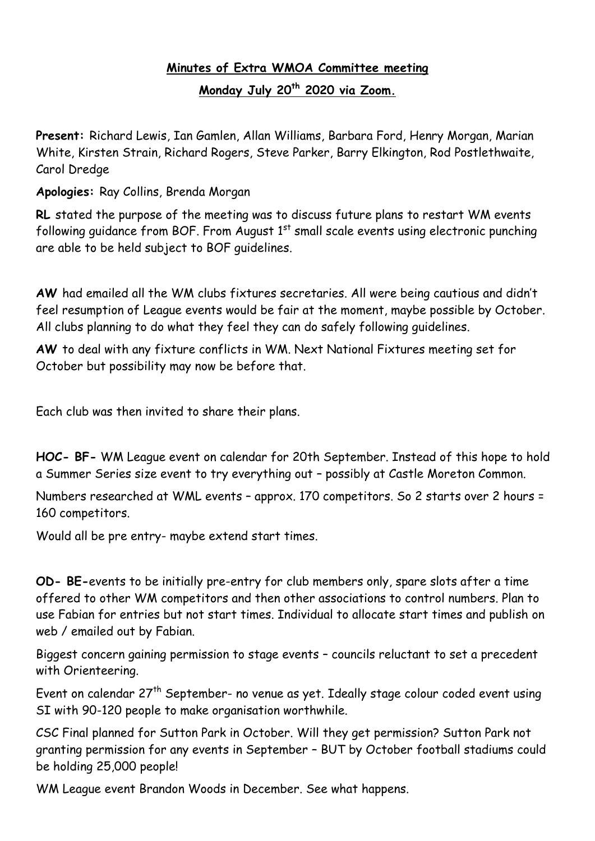## **Minutes of Extra WMOA Committee meeting**

**Monday July 20th 2020 via Zoom.**

**Present:** Richard Lewis, Ian Gamlen, Allan Williams, Barbara Ford, Henry Morgan, Marian White, Kirsten Strain, Richard Rogers, Steve Parker, Barry Elkington, Rod Postlethwaite, Carol Dredge

**Apologies:** Ray Collins, Brenda Morgan

**RL** stated the purpose of the meeting was to discuss future plans to restart WM events following quidance from BOF. From August  $1<sup>st</sup>$  small scale events using electronic punching are able to be held subject to BOF guidelines.

**AW** had emailed all the WM clubs fixtures secretaries. All were being cautious and didn't feel resumption of League events would be fair at the moment, maybe possible by October. All clubs planning to do what they feel they can do safely following guidelines.

**AW** to deal with any fixture conflicts in WM. Next National Fixtures meeting set for October but possibility may now be before that.

Each club was then invited to share their plans.

**HOC- BF-** WM League event on calendar for 20th September. Instead of this hope to hold a Summer Series size event to try everything out – possibly at Castle Moreton Common.

Numbers researched at WML events – approx. 170 competitors. So 2 starts over 2 hours = 160 competitors.

Would all be pre entry- maybe extend start times.

**OD- BE-**events to be initially pre-entry for club members only, spare slots after a time offered to other WM competitors and then other associations to control numbers. Plan to use Fabian for entries but not start times. Individual to allocate start times and publish on web / emailed out by Fabian.

Biggest concern gaining permission to stage events – councils reluctant to set a precedent with Orienteering.

Event on calendar 27<sup>th</sup> September- no venue as yet. Ideally stage colour coded event using SI with 90-120 people to make organisation worthwhile.

CSC Final planned for Sutton Park in October. Will they get permission? Sutton Park not granting permission for any events in September – BUT by October football stadiums could be holding 25,000 people!

WM League event Brandon Woods in December. See what happens.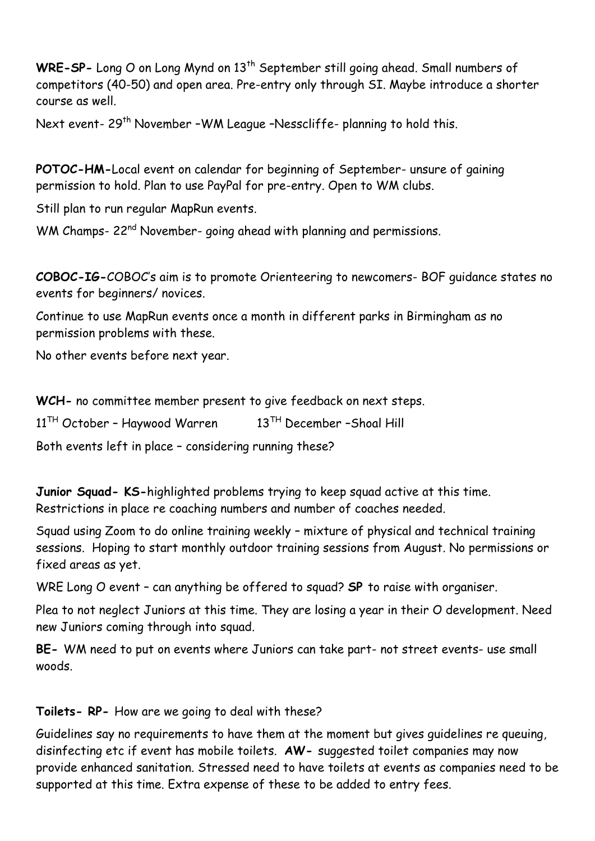WRE-SP- Long O on Long Mynd on 13<sup>th</sup> September still going ahead. Small numbers of competitors (40-50) and open area. Pre-entry only through SI. Maybe introduce a shorter course as well.

Next event- 29<sup>th</sup> November -WM League -Nesscliffe- planning to hold this.

**POTOC-HM-**Local event on calendar for beginning of September- unsure of gaining permission to hold. Plan to use PayPal for pre-entry. Open to WM clubs.

Still plan to run regular MapRun events.

WM Champs- 22<sup>nd</sup> November- going ahead with planning and permissions.

**COBOC-IG-**COBOC's aim is to promote Orienteering to newcomers- BOF guidance states no events for beginners/ novices.

Continue to use MapRun events once a month in different parks in Birmingham as no permission problems with these.

No other events before next year.

**WCH-** no committee member present to give feedback on next steps.

 $11<sup>TH</sup>$  October - Haywood Warren  $13<sup>TH</sup>$  December - Shoal Hill

Both events left in place – considering running these?

**Junior Squad- KS-**highlighted problems trying to keep squad active at this time. Restrictions in place re coaching numbers and number of coaches needed.

Squad using Zoom to do online training weekly – mixture of physical and technical training sessions. Hoping to start monthly outdoor training sessions from August. No permissions or fixed areas as yet.

WRE Long O event – can anything be offered to squad? **SP** to raise with organiser.

Plea to not neglect Juniors at this time. They are losing a year in their O development. Need new Juniors coming through into squad.

**BE-** WM need to put on events where Juniors can take part- not street events- use small woods.

## **Toilets- RP-** How are we going to deal with these?

Guidelines say no requirements to have them at the moment but gives guidelines re queuing, disinfecting etc if event has mobile toilets. **AW-** suggested toilet companies may now provide enhanced sanitation. Stressed need to have toilets at events as companies need to be supported at this time. Extra expense of these to be added to entry fees.